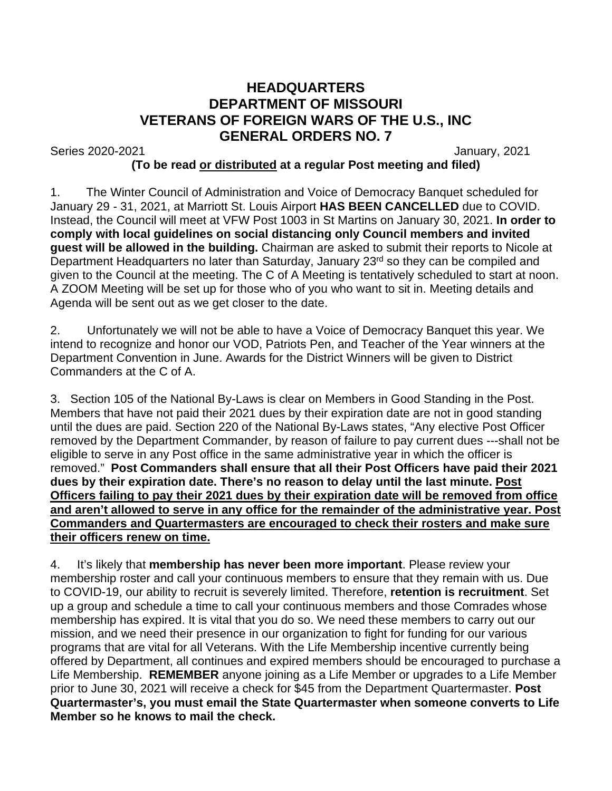## **HEADQUARTERS DEPARTMENT OF MISSOURI VETERANS OF FOREIGN WARS OF THE U.S., INC GENERAL ORDERS NO. 7**

Series 2020-2021 January, 2021

## **(To be read or distributed at a regular Post meeting and filed)**

1. The Winter Council of Administration and Voice of Democracy Banquet scheduled for January 29 - 31, 2021, at Marriott St. Louis Airport **HAS BEEN CANCELLED** due to COVID. Instead, the Council will meet at VFW Post 1003 in St Martins on January 30, 2021. **In order to comply with local guidelines on social distancing only Council members and invited guest will be allowed in the building.** Chairman are asked to submit their reports to Nicole at Department Headquarters no later than Saturday, January 23<sup>rd</sup> so they can be compiled and given to the Council at the meeting. The C of A Meeting is tentatively scheduled to start at noon. A ZOOM Meeting will be set up for those who of you who want to sit in. Meeting details and Agenda will be sent out as we get closer to the date.

2. Unfortunately we will not be able to have a Voice of Democracy Banquet this year. We intend to recognize and honor our VOD, Patriots Pen, and Teacher of the Year winners at the Department Convention in June. Awards for the District Winners will be given to District Commanders at the C of A.

3. Section 105 of the National By-Laws is clear on Members in Good Standing in the Post. Members that have not paid their 2021 dues by their expiration date are not in good standing until the dues are paid. Section 220 of the National By-Laws states, "Any elective Post Officer removed by the Department Commander, by reason of failure to pay current dues ---shall not be eligible to serve in any Post office in the same administrative year in which the officer is removed." **Post Commanders shall ensure that all their Post Officers have paid their 2021 dues by their expiration date. There's no reason to delay until the last minute. Post Officers failing to pay their 2021 dues by their expiration date will be removed from office and aren't allowed to serve in any office for the remainder of the administrative year. Post Commanders and Quartermasters are encouraged to check their rosters and make sure their officers renew on time.**

4. It's likely that **membership has never been more important**. Please review your membership roster and call your continuous members to ensure that they remain with us. Due to COVID-19, our ability to recruit is severely limited. Therefore, **retention is recruitment**. Set up a group and schedule a time to call your continuous members and those Comrades whose membership has expired. It is vital that you do so. We need these members to carry out our mission, and we need their presence in our organization to fight for funding for our various programs that are vital for all Veterans. With the Life Membership incentive currently being offered by Department, all continues and expired members should be encouraged to purchase a Life Membership. **REMEMBER** anyone joining as a Life Member or upgrades to a Life Member prior to June 30, 2021 will receive a check for \$45 from the Department Quartermaster. **Post Quartermaster's, you must email the State Quartermaster when someone converts to Life Member so he knows to mail the check.**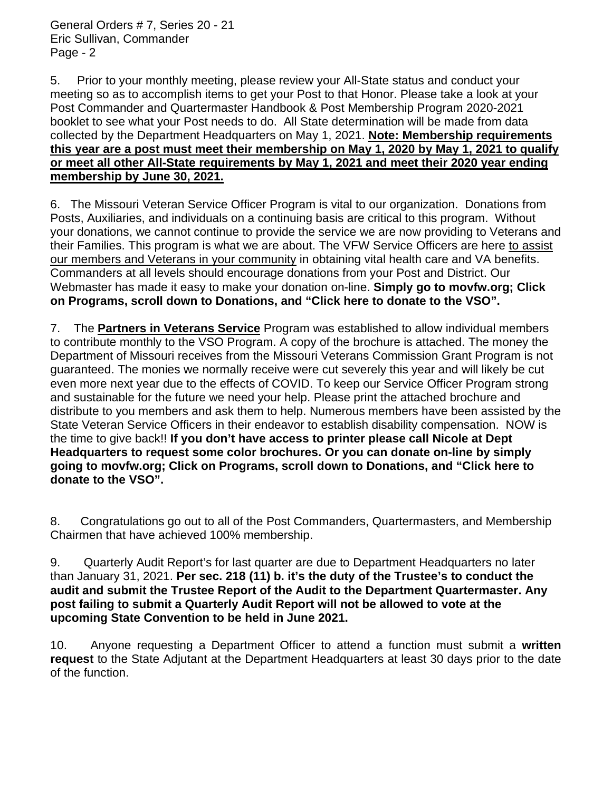5. Prior to your monthly meeting, please review your All-State status and conduct your meeting so as to accomplish items to get your Post to that Honor. Please take a look at your Post Commander and Quartermaster Handbook & Post Membership Program 2020-2021 booklet to see what your Post needs to do. All State determination will be made from data collected by the Department Headquarters on May 1, 2021. **Note: Membership requirements this year are a post must meet their membership on May 1, 2020 by May 1, 2021 to qualify or meet all other All-State requirements by May 1, 2021 and meet their 2020 year ending membership by June 30, 2021.**

6. The Missouri Veteran Service Officer Program is vital to our organization. Donations from Posts, Auxiliaries, and individuals on a continuing basis are critical to this program. Without your donations, we cannot continue to provide the service we are now providing to Veterans and their Families. This program is what we are about. The VFW Service Officers are here to assist our members and Veterans in your community in obtaining vital health care and VA benefits. Commanders at all levels should encourage donations from your Post and District. Our Webmaster has made it easy to make your donation on-line. **Simply go to movfw.org; Click on Programs, scroll down to Donations, and "Click here to donate to the VSO".**

7. The **Partners in Veterans Service** Program was established to allow individual members to contribute monthly to the VSO Program. A copy of the brochure is attached. The money the Department of Missouri receives from the Missouri Veterans Commission Grant Program is not guaranteed. The monies we normally receive were cut severely this year and will likely be cut even more next year due to the effects of COVID. To keep our Service Officer Program strong and sustainable for the future we need your help. Please print the attached brochure and distribute to you members and ask them to help. Numerous members have been assisted by the State Veteran Service Officers in their endeavor to establish disability compensation. NOW is the time to give back!! **If you don't have access to printer please call Nicole at Dept Headquarters to request some color brochures. Or you can donate on-line by simply going to movfw.org; Click on Programs, scroll down to Donations, and "Click here to donate to the VSO".**

8.Congratulations go out to all of the Post Commanders, Quartermasters, and Membership Chairmen that have achieved 100% membership.

9. Quarterly Audit Report's for last quarter are due to Department Headquarters no later than January 31, 2021. **Per sec. 218 (11) b. it's the duty of the Trustee's to conduct the audit and submit the Trustee Report of the Audit to the Department Quartermaster. Any post failing to submit a Quarterly Audit Report will not be allowed to vote at the upcoming State Convention to be held in June 2021.**

10. Anyone requesting a Department Officer to attend a function must submit a **written request** to the State Adjutant at the Department Headquarters at least 30 days prior to the date of the function.